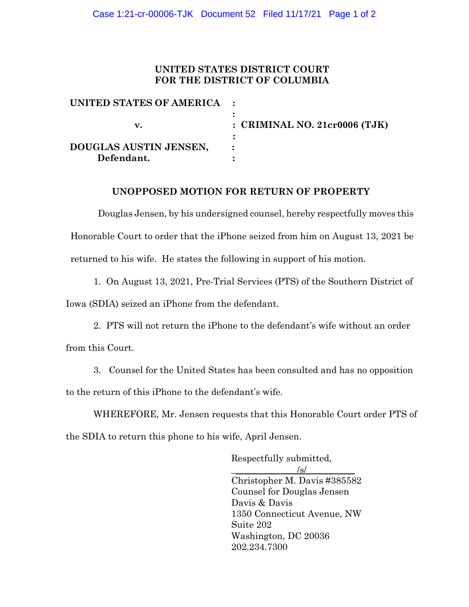### **UNITED STATES DISTRICT COURT FOR THE DISTRICT OF COLUMBIA**

| UNITED STATES OF AMERICA :           |                                 |
|--------------------------------------|---------------------------------|
| v.                                   | : CRIMINAL NO. $21cr0006$ (TJK) |
| DOUGLAS AUSTIN JENSEN,<br>Defendant. |                                 |

#### **UNOPPOSED MOTION FOR RETURN OF PROPERTY**

Douglas Jensen, by his undersigned counsel, hereby respectfully moves this Honorable Court to order that the iPhone seized from him on August 13, 2021 be returned to his wife. He states the following in support of his motion.

1. On August 13, 2021, Pre-Trial Services (PTS) of the Southern District of

Iowa (SDIA) seized an iPhone from the defendant.

2. PTS will not return the iPhone to the defendant's wife without an order

from this Court.

3. Counsel for the United States has been consulted and has no opposition to the return of this iPhone to the defendant's wife.

WHEREFORE, Mr. Jensen requests that this Honorable Court order PTS of the SDIA to return this phone to his wife, April Jensen.

> Respectfully submitted,  $/\mathrm{s}/$ Christopher M. Davis #385582 Counsel for Douglas Jensen Davis & Davis 1350 Connecticut Avenue, NW Suite 202 Washington, DC 20036 202.234.7300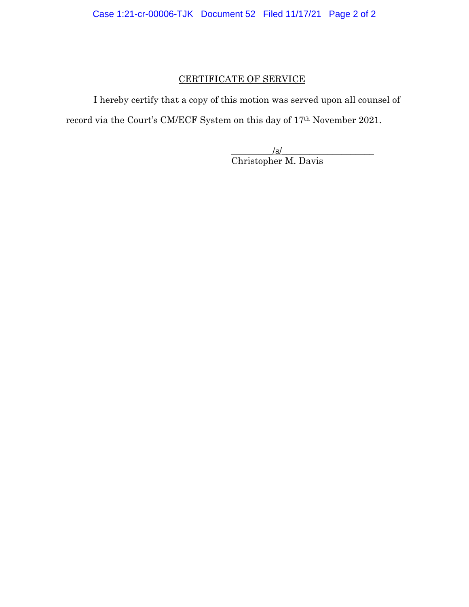## CERTIFICATE OF SERVICE

I hereby certify that a copy of this motion was served upon all counsel of record via the Court's CM/ECF System on this day of 17th November 2021.

> $\sqrt{s}$ / Christopher M. Davis